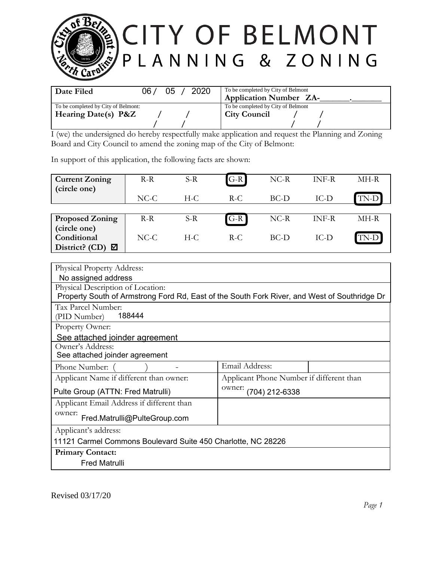

| Date Filed                          | 06 / | 05 | 2020 | To be completed by City of Belmont<br><b>Application Number ZA-</b> |
|-------------------------------------|------|----|------|---------------------------------------------------------------------|
| To be completed by City of Belmont: |      |    |      | To be completed by City of Belmont                                  |
| Hearing Date(s) P&Z                 |      |    |      | <b>City Council</b>                                                 |
|                                     |      |    |      |                                                                     |

I (we) the undersigned do hereby respectfully make application and request the Planning and Zoning Board and City Council to amend the zoning map of the City of Belmont:

In support of this application, the following facts are shown:

| <b>Current Zoning</b><br>(circle one) | $R-R$  | $S-R$ | $G-R$ | $NC-R$ | INF-R  | MH-R |
|---------------------------------------|--------|-------|-------|--------|--------|------|
|                                       | $NC-C$ | H-C   | $R-C$ | $BC-D$ | $IC-D$ | TN-D |
|                                       |        |       |       |        |        |      |
| <b>Proposed Zoning</b>                | $R-R$  | $S-R$ | $G-R$ | $NC-R$ | INF-R  | MH-R |
| (circle one)                          |        |       |       |        |        |      |
| Conditional                           | $NC-C$ | $H-C$ | $R-C$ | $BC-D$ | IC-D   | TN-D |
| District? (CD)<br>⊠                   |        |       |       |        |        |      |

| <b>Physical Property Address:</b>                                                            |                                          |  |  |  |  |  |
|----------------------------------------------------------------------------------------------|------------------------------------------|--|--|--|--|--|
| No assigned address                                                                          |                                          |  |  |  |  |  |
| Physical Description of Location:                                                            |                                          |  |  |  |  |  |
| Property South of Armstrong Ford Rd, East of the South Fork River, and West of Southridge Dr |                                          |  |  |  |  |  |
| Tax Parcel Number:                                                                           |                                          |  |  |  |  |  |
| 188444<br>(PID Number)                                                                       |                                          |  |  |  |  |  |
| Property Owner:                                                                              |                                          |  |  |  |  |  |
| See attached joinder agreement                                                               |                                          |  |  |  |  |  |
| Owner's Address:                                                                             |                                          |  |  |  |  |  |
|                                                                                              | See attached joinder agreement           |  |  |  |  |  |
| Phone Number:                                                                                | Email Address:                           |  |  |  |  |  |
| Applicant Name if different than owner:                                                      | Applicant Phone Number if different than |  |  |  |  |  |
| Pulte Group (ATTN: Fred Matrulli)                                                            | owner: (704) 212-6338                    |  |  |  |  |  |
| Applicant Email Address if different than                                                    |                                          |  |  |  |  |  |
| owner:<br>Fred.Matrulli@PulteGroup.com                                                       |                                          |  |  |  |  |  |
| Applicant's address:                                                                         |                                          |  |  |  |  |  |
| 11121 Carmel Commons Boulevard Suite 450 Charlotte, NC 28226                                 |                                          |  |  |  |  |  |
| <b>Primary Contact:</b>                                                                      |                                          |  |  |  |  |  |
| <b>Fred Matrulli</b>                                                                         |                                          |  |  |  |  |  |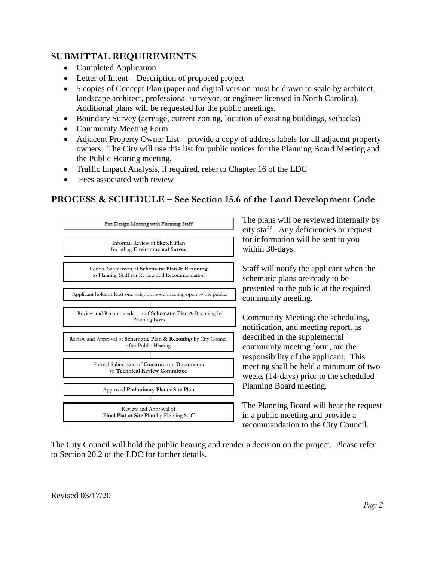## **SUBMITTAL REQUIREMENTS**

- Completed Application
- Letter of Intent Description of proposed project
- 5 copies of Concept Plan (paper and digital version must be drawn to scale by architect, landscape architect, professional surveyor, or engineer licensed in North Carolina). Additional plans will be requested for the public meetings.
- Boundary Survey (acreage, current zoning, location of existing buildings, setbacks)
- Community Meeting Form
- Adjacent Property Owner List provide a copy of address labels for all adjacent property owners. The City will use this list for public notices for the Planning Board Meeting and the Public Hearing meeting.
- Traffic Impact Analysis, if required, refer to Chapter 16 of the LDC
- Fees associated with review

## **PROCESS & SCHEDULE – See Section 15.6 of the Land Development Code**



The plans will be reviewed internally by city staff. Any deficiencies or request for information will be sent to you within 30-days.

Staff will notify the applicant when the schematic plans are ready to be presented to the public at the required community meeting.

Community Meeting: the scheduling, notification, and meeting report, as described in the supplemental community meeting form, are the responsibility of the applicant. This meeting shall be held a minimum of two weeks (14-days) prior to the scheduled Planning Board meeting.

The Planning Board will hear the request in a public meeting and provide a recommendation to the City Council.

The City Council will hold the public hearing and render a decision on the project. Please refer to Section 20.2 of the LDC for further details.